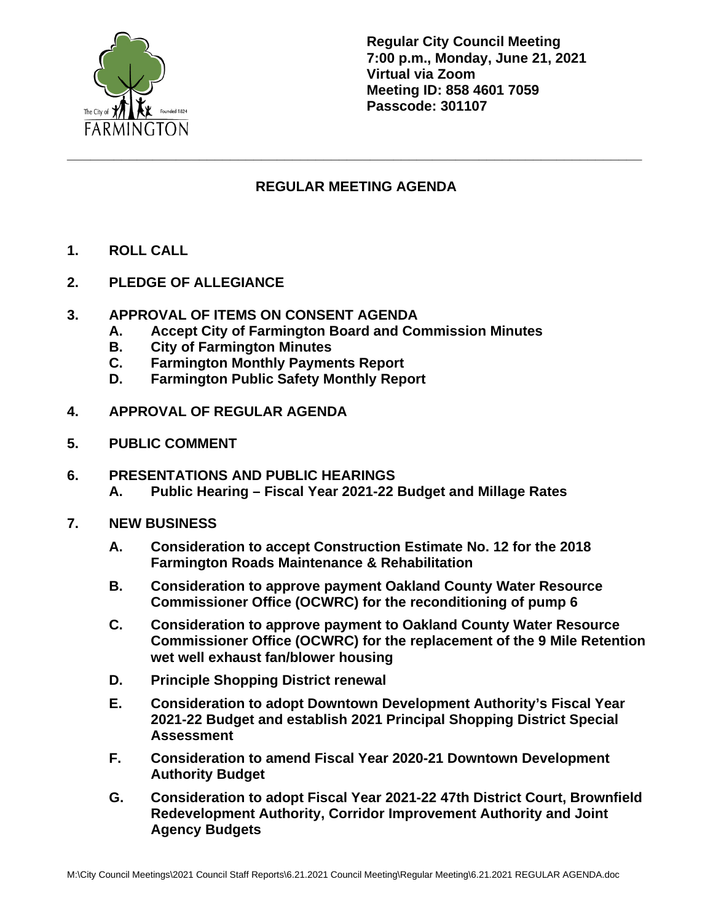

**Regular City Council Meeting 7:00 p.m., Monday, June 21, 2021 Virtual via Zoom Meeting ID: 858 4601 7059 Passcode: 301107**

## **REGULAR MEETING AGENDA**

**\_\_\_\_\_\_\_\_\_\_\_\_\_\_\_\_\_\_\_\_\_\_\_\_\_\_\_\_\_\_\_\_\_\_\_\_\_\_\_\_\_\_\_\_\_\_\_\_\_\_\_\_\_\_\_\_\_\_\_\_\_\_\_\_\_\_\_\_\_\_\_\_\_\_**

- **1. ROLL CALL**
- **2. PLEDGE OF ALLEGIANCE**
- **3. APPROVAL OF ITEMS ON CONSENT AGENDA**
	- **A. Accept City of Farmington Board and Commission Minutes**
	- **B. City of Farmington Minutes**
	- **C. Farmington Monthly Payments Report**
	- **D. Farmington Public Safety Monthly Report**
- **4. APPROVAL OF REGULAR AGENDA**
- **5. PUBLIC COMMENT**
- **6. PRESENTATIONS AND PUBLIC HEARINGS A. Public Hearing – Fiscal Year 2021-22 Budget and Millage Rates**
- **7. NEW BUSINESS**
	- **A. Consideration to accept Construction Estimate No. 12 for the 2018 Farmington Roads Maintenance & Rehabilitation**
	- **B. Consideration to approve payment Oakland County Water Resource Commissioner Office (OCWRC) for the reconditioning of pump 6**
	- **C. Consideration to approve payment to Oakland County Water Resource Commissioner Office (OCWRC) for the replacement of the 9 Mile Retention wet well exhaust fan/blower housing**
	- **D. Principle Shopping District renewal**
	- **E. Consideration to adopt Downtown Development Authority's Fiscal Year 2021-22 Budget and establish 2021 Principal Shopping District Special Assessment**
	- **F. Consideration to amend Fiscal Year 2020-21 Downtown Development Authority Budget**
	- **G. Consideration to adopt Fiscal Year 2021-22 47th District Court, Brownfield Redevelopment Authority, Corridor Improvement Authority and Joint Agency Budgets**